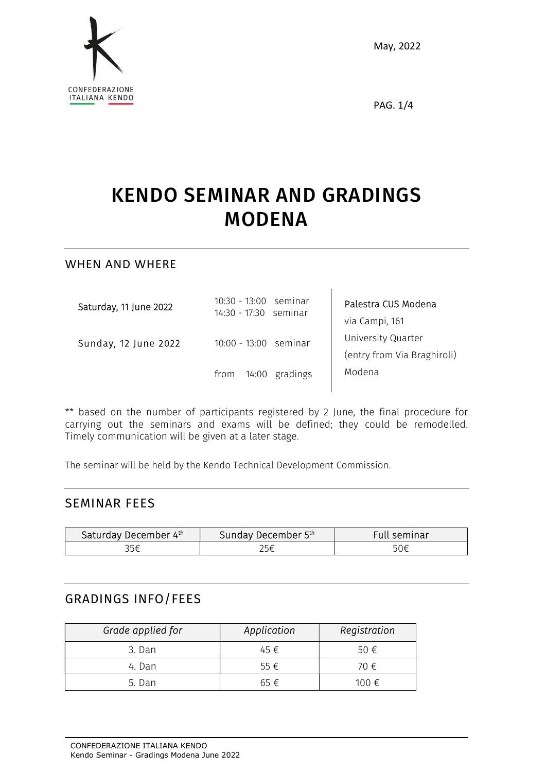

PAG. 1/4

# KENDO SEMINAR AND GRADINGS MODENA

WHEN AND WHERE

| Saturday, 11 June 2022 | 10:30 - 13:00 seminar<br>14:30 - 17:30 seminar | Palestra CUS Modena<br>via Campi, 161             |
|------------------------|------------------------------------------------|---------------------------------------------------|
| Sunday, 12 June 2022   | $10:00 - 13:00$ seminar                        | University Quarter<br>(entry from Via Braghiroli) |
|                        | 14:00 gradings<br>from                         | Modena                                            |

\*\* based on the number of participants registered by 2 June, the final procedure for carrying out the seminars and exams will be defined; they could be remodelled. Timely communication will be given at a later stage.

The seminar will be held by the Kendo Technical Development Commission.

## SEMINAR FEES

| Saturday December 4th | Sunday December 5th | <b>Full seminar</b> |
|-----------------------|---------------------|---------------------|
| 35€                   | 25€                 | 50€                 |

## GRADINGS INFO/FEES

| Grade applied for | Application | Registration  |
|-------------------|-------------|---------------|
| 3. Dan            | 45 $\in$    | 50 $\epsilon$ |
| 4. Dan            | 55€         | 70 €          |
| 5. Dan            | 65 €        | 100 €         |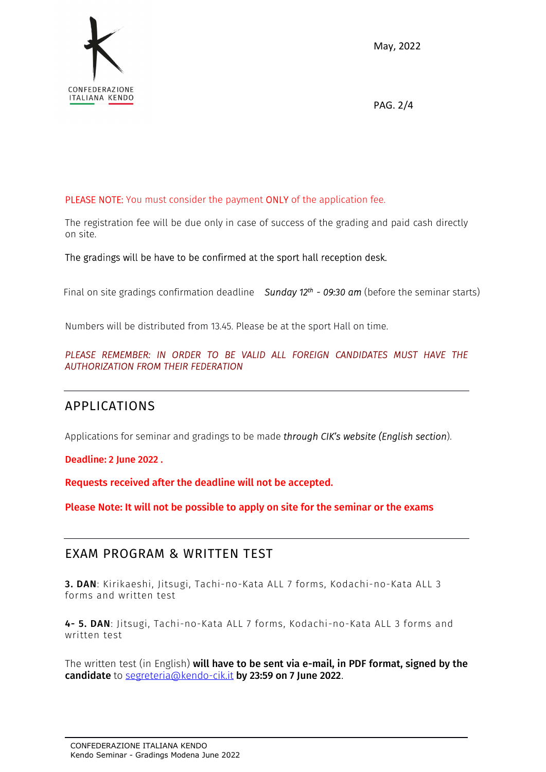

PAG. 2/4

#### PLEASE NOTE: You must consider the payment ONLY of the application fee.

The registration fee will be due only in case of success of the grading and paid cash directly on site.

#### The gradings will be have to be confirmed at the sport hall reception desk.

Final on site gradings confirmation deadline Sunday  $12<sup>th</sup>$  - 09:30 am (before the seminar starts)

Numbers will be distributed from 13.45. Please be at the sport Hall on time.

#### PLEASE REMEMBER: IN ORDER TO BE VALID ALL FOREIGN CANDIDATES MUST HAVE THE AUTHORIZATION FROM THEIR FEDERATION

## APPLICATIONS

Applications for seminar and gradings to be made through CIK's website (English section).

#### Deadline: 2 June 2022.

Requests received after the deadline will not be accepted.

Please Note: It will not be possible to apply on site for the seminar or the exams

## EXAM PROGRAM & WRITTEN TEST

3. DAN: Kirikaeshi, Jitsugi, Tachi-no-Kata ALL 7 forms, Kodachi-no-Kata ALL 3 forms and written test

4- 5. DAN: Jitsugi, Tachi-no-Kata ALL 7 forms, Kodachi-no-Kata ALL 3 forms and written test

The written test (in English) will have to be sent via e-mail, in PDF format, signed by the candidate to segreteria@kendo-cik.it by 23:59 on 7 June 2022.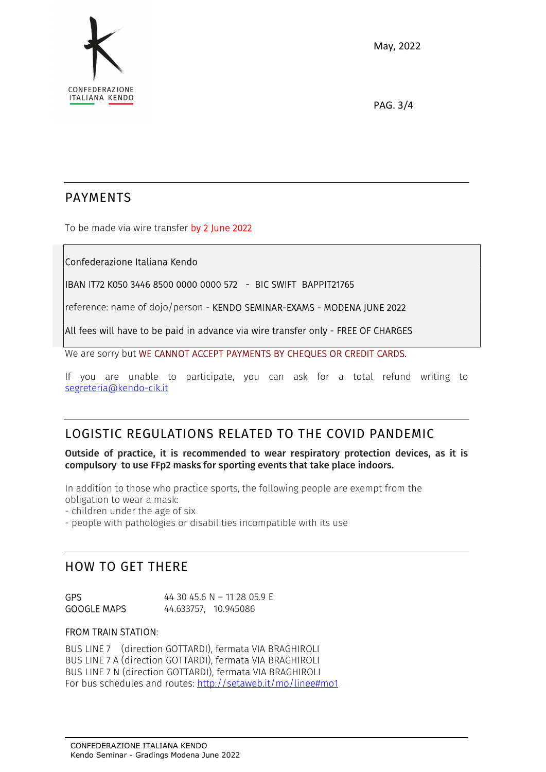

PAG. 3/4

## PAYMENTS

To be made via wire transfer by 2 June 2022

Confederazione Italiana Kendo

IBAN IT72 K050 3446 8500 0000 0000 572 - BIC SWIFT BAPPIT21765

reference: name of dojo/person - KENDO SEMINAR-EXAMS - MODENA JUNE 2022

All fees will have to be paid in advance via wire transfer only - FREE OF CHARGES

We are sorry but WE CANNOT ACCEPT PAYMENTS BY CHEQUES OR CREDIT CARDS.

If you are unable to participate, you can ask for a total refund writing to segreteria@kendo-cik.it

# LOGISTIC REGULATIONS RELATED TO THE COVID PANDEMIC

#### Outside of practice, it is recommended to wear respiratory protection devices, as it is compulsory to use FFp2 masks for sporting events that take place indoors.

In addition to those who practice sports, the following people are exempt from the obligation to wear a mask:

- children under the age of six

- people with pathologies or disabilities incompatible with its use

## HOW TO GET THERE

| GPS.               | 44 30 45.6 N - 11 28 05.9 E |
|--------------------|-----------------------------|
| <b>GOOGLE MAPS</b> | 44.633757, 10.945086        |

#### FROM TRAIN STATION:

BUS LINE 7 (direction GOTTARDI), fermata VIA BRAGHIROLI BUS LINE 7 A (direction GOTTARDI), fermata VIA BRAGHIROLI BUS LINE 7 N (direction GOTTARDI), fermata VIA BRAGHIROLI For bus schedules and routes: http://setaweb.it/mo/linee#mo1